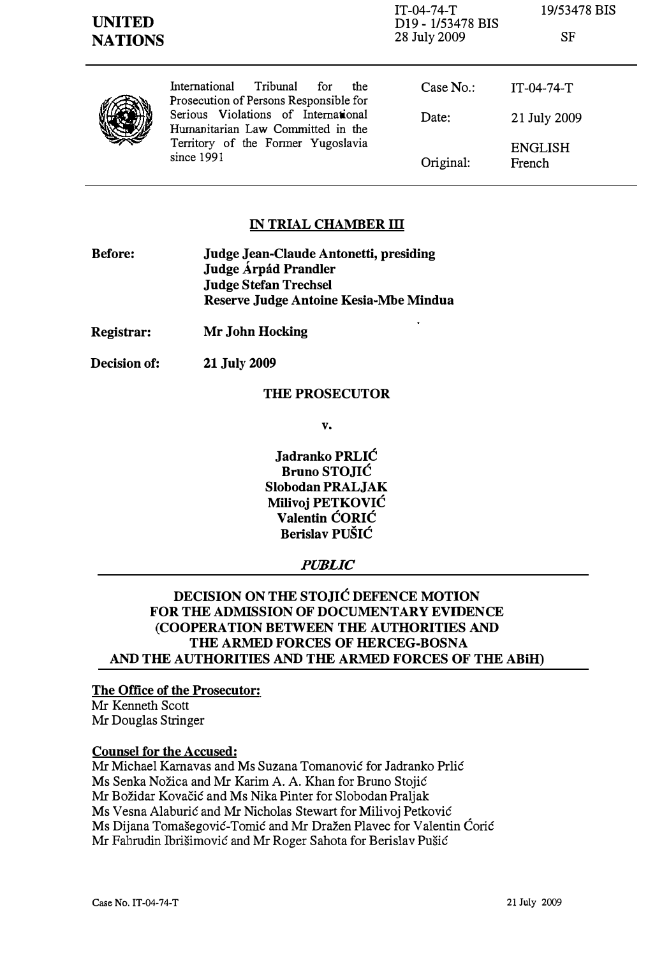| <b>UNITED</b><br><b>NATIONS</b> |                                                                                                                                                                                                                   | IT-04-74-T<br>D <sub>19</sub> - 1/53478 BIS<br>28 July 2009 | 19/53478 BIS<br>SF       |
|---------------------------------|-------------------------------------------------------------------------------------------------------------------------------------------------------------------------------------------------------------------|-------------------------------------------------------------|--------------------------|
|                                 | International<br>Tribunal<br>for<br>the<br>Prosecution of Persons Responsible for<br>Serious Violations of International<br>Humanitarian Law Committed in the<br>Territory of the Former Yugoslavia<br>since 1991 | Case $No.$ :                                                | $IT-04-74-T$             |
|                                 |                                                                                                                                                                                                                   | Date:                                                       | 21 July 2009             |
|                                 |                                                                                                                                                                                                                   | Original:                                                   | <b>ENGLISH</b><br>French |

#### **IN TRIAL CHAMBER III**

- Before: Judge Jean-Claude Antonetti, presiding Judge Árpád Prandler Judge Stefan Trechsel Reserve Judge Antoine Kesia-Mbe Mindua
- Registrar: Mr John Hocking
- Decision of: 21 July 2009

#### THE PROSECUTOR

v.

Jadranko PRLIĆ Bruno STOJIĆ Slobodan PRALJAK Milivoj PETKOVIĆ Valentin ĆORIĆ Berislav PUŠIĆ

#### PUBLIC

## DECISION ON THE STOJIĆ DEFENCE MOTION FOR THE ADMISSION OF DOCUMENTARY EVIDENCE (COOPERATION BETWEEN THE AUTHORITIES AND THE ARMED FORCES OF HERCEG-BOSNA AND THE AUTHORITIES AND THE ARMED FORCES OF THE ABiH)

#### The Office of the Prosecutor:

Mr Kenneth Scott Mr Douglas Stringer

### Counsel for the Accused:

Mr Michael Karnavas and Ms Suzana Tomanović for Jadranko Prlić Ms Senka Nožica and Mr Karim A. A. Khan for Bruno Stojić Mr Božidar Kovačić and Ms Nika Pinter for Slobodan Praljak Ms Vesna Alaburić and Mr Nicholas Stewart for Milivoj Petković Ms Dijana Tomašegović-Tornić and Mr Dražen Plavec for Valentin Ćorić Mr Fahrudin lbrišimović and Mr Roger Sahota for Berislav Pušić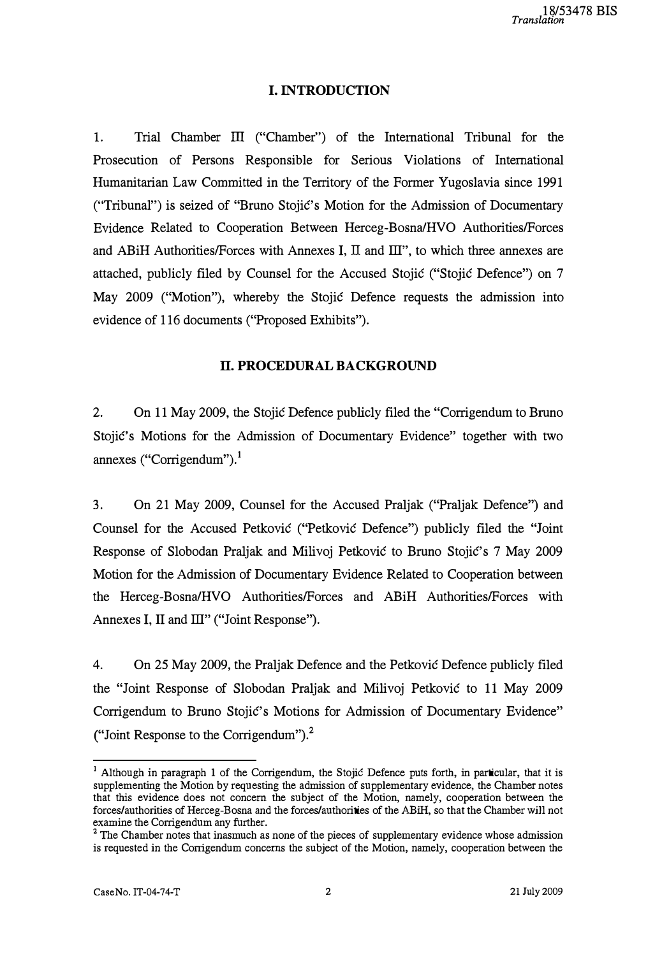## I. INTRODUCTION

l. Trial Chamber III ("Chamber") of the International Tribunal for the Prosecution of Persons Responsible for Serious Violations of International Humanitarian Law Committed in the Territory of the Former Yugoslavia since 1991 ("Tribunal") is seized of "Bruno Stojić's Motion for the Admission of Documentary Evidence Related to Cooperation Between Herceg-Bosna/HVO Authorities/Forces and ABiH Authorities/Forces with Annexes I,  $\text{II}$  and  $\text{III}$ ", to which three annexes are attached, publicly filed by Counsel for the Accused Stojić ("Stojić Defence") on 7 May 2009 ("Motion"), whereby the Stojić Defence requests the admission into evidence of 116 documents ("Proposed Exhibits").

## II. PROCEDURAL BACKGROUND

2. On II May 2009, the Stojić Defence publicly filed the "Corrigendum to Bruno Stojić's Motions for the Admission of Documentary Evidence" together with two annexes ("Corrigendum").<sup>1</sup>

3. On 21 May 2009, Counsel for the Accused Praljak ("Praljak Defence") and Counsel for the Accused Petković ("Petković Defence") publicly filed the "Joint Response of Slobodan Praljak and Milivoj Petković to Bruno Stojić's 7 May 2009 Motion for the Admission of Documentary Evidence Related to Cooperation between the Herceg-Bosna/HVO Authorities/Forces and ABiH Authorities/Forces with Annexes I, II and III" ("Joint Response").

4. On 25 May 2009, the Praljak Defence and the Petković Defence publicly filed the "Joint Response of Slobodan Praljak and Milivoj Petković to II May 2009 Corrigendum to Bruno Stojić's Motions for Admission of Documentary Evidence" ("Joint Response to the Corrigendum"). $<sup>2</sup>$ </sup>

<sup>&</sup>lt;sup>1</sup> Although in paragraph 1 of the Corrigendum, the Stojić Defence puts forth, in particular, that it is supplementing the Motion by requesting the admission of supplementary evidence, the Chamber notes that this evidence does not concern the subject of the Motion, namely, cooperation between the forces/authorities of Herceg-Bosna and the forces/authorities of the ABiH, so that the Chamber will not examine the Corrigendum any further.

<sup>2</sup>The Chamber notes that inasmuch as none of the pieces of supplementary evidence whose admission is requested in the Corrigendum concerns the subject of the Motion, namely, cooperation between the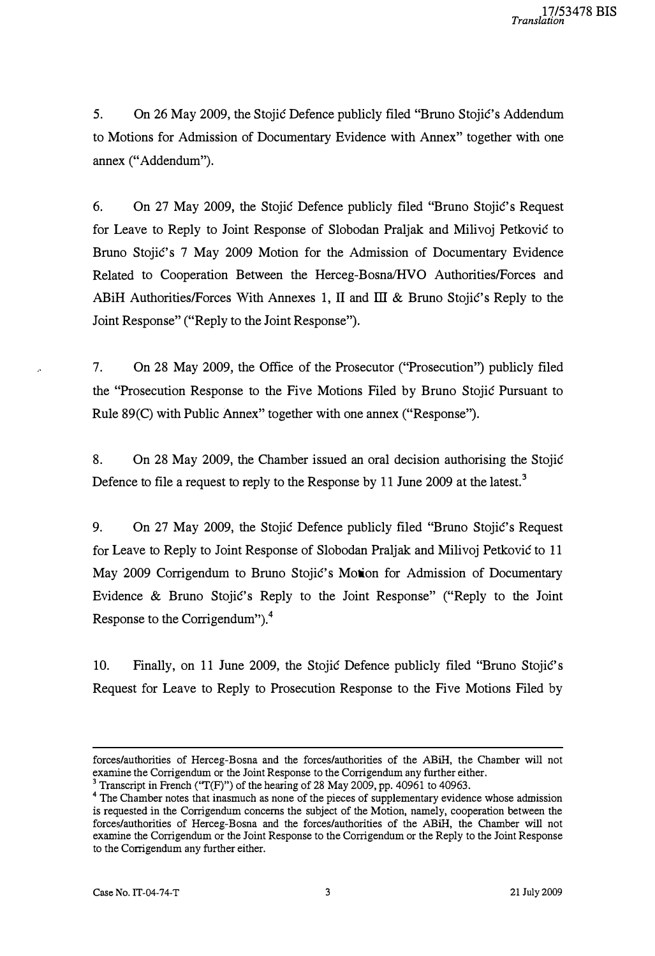5. On 26 May 2009, the Stojić Defence publicly filed "Bruno Stojić's Addendum to Motions for Admission of Documentary Evidence with Annex" together with one annex ("Addendum").

6. On 27 May 2009, the Stojić Defence publicly filed "Bruno Stojić' s Request for Leave to Reply to Joint Response of Slobodan Praljak and Milivoj Petković to Bruno Stojić's 7 May 2009 Motion for the Admission of Documentary Evidence Related to Cooperation Between the Herceg-Bosna/HVO Authorities/Forces and ABiH Authorities/Forces With Annexes 1, II and  $III \& B$  Bruno Stojić's Reply to the Joint Response" ("Reply to the Joint Response").

7. On 28 May 2009, the Office of the Prosecutor ("Prosecution") publicly filed the "Prosecution Response to the Five Motions Filed by Bruno Stojić Pursuant to Rule 89(C) with Public Annex" together with one annex ("Response").

8. On 28 May 2009, the Chamber issued an oral decision authorising the Stojić Defence to file a request to reply to the Response by 11 June 2009 at the latest.<sup>3</sup>

9. On 27 May 2009, the Stojić Defence publicly filed "Bruno Stojić's Request for Leave to Reply to Joint Response of Slobodan Praljak and Milivoj Petković to 11 May 2009 Corrigendum to Bruno Stojić's Motion for Admission of Documentary Evidence & Bruno Stojić's Reply to the Joint Response" ("Reply to the Joint Response to the Corrigendum"). $4$ 

10. Finally, on 11 June 2009, the Stojić Defence publicly filed "Bruno Stojić' s Request for Leave to Reply to Prosecution Response to the Five Motions Filed by

forces/authorities of Herceg-Bosna and the forces/authorities of the ABiH, the Chamber will not examine the Corrigendum or the Joint Response to the Corrigendum any further either.

<sup>&</sup>lt;sup>3</sup> Transcript in French ('T(F)'') of the hearing of 28 May 2009, pp. 40961 to 40963.

<sup>&</sup>lt;sup>4</sup> The Chamber notes that inasmuch as none of the pieces of supplementary evidence whose admission is requested in the Corrigendum concerns the subject of the Motion, namely, cooperation between the forces/authorities of Herceg-Bosna and the forces/authorities of the ABiH, the Chamber will not exantine the Corrigendum or the Joint Response to the Corrigendum or the Reply to the Joint Response to the Corrigendum any further either.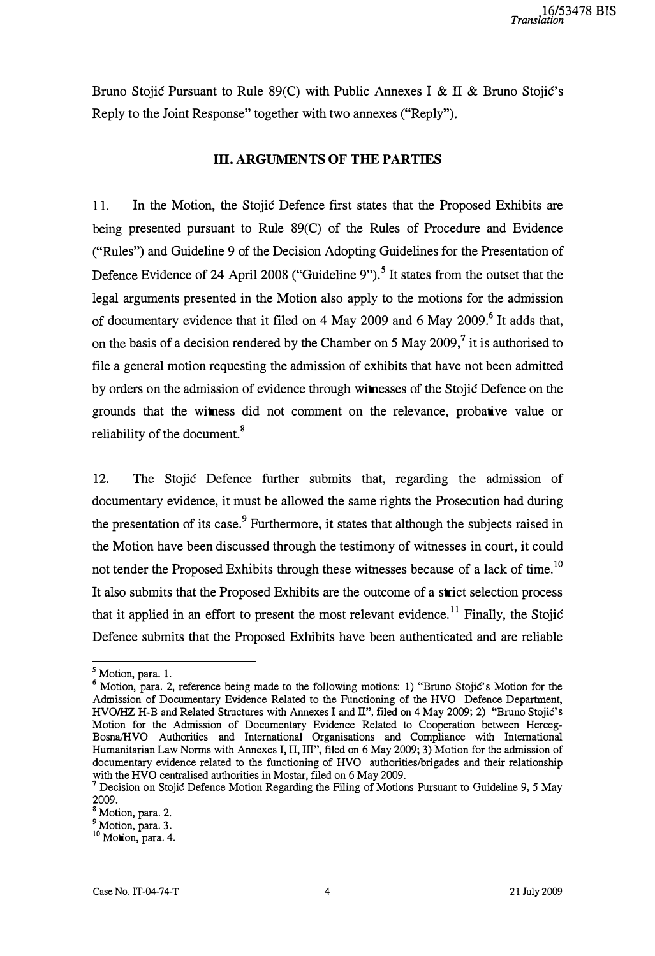Bruno Stojić Pursuant to Rule 89(C) with Public Annexes I & II & Bruno Stojić's Reply to the Joint Response" together with two annexes ("Reply").

### III. ARGUMENTS OF THE PARTIES

l l. In the Motion, the Stojić Defence first states that the Proposed Exhibits are being presented pursuant to Rule 89(C) of the Rules of Procedure and Evidence ("Rules") and Guideline 9 of the Decision Adopting Guidelines for the Presentation of Defence Evidence of 24 April 2008 ("Guideline 9").<sup>5</sup> It states from the outset that the legal arguments presented in the Motion also apply to the motions for the admission of documentary evidence that it filed on 4 May 2009 and 6 May 2009.<sup>6</sup> It adds that, on the basis of a decision rendered by the Chamber on 5 May 2009,<sup>7</sup> it is authorised to file a general motion requesting the admission of exhibits that have not been admitted by orders on the admission of evidence through witnesses of the Stojić Defence on the grounds that the witness did not comment on the relevance, probative value or reliability of the document.<sup>8</sup>

12. The Stojić Defence further submits that, regarding the admission of documentary evidence, it must be allowed the same rights the Prosecution had during the presentation of its case.<sup>9</sup> Furthermore, it states that although the subjects raised in the Motion have been discussed through the testimony of witnesses in court, it could not tender the Proposed Exhibits through these witnesses because of a lack of time.<sup>10</sup> It also submits that the Proposed Exhibits are the outcome of a strict selection process that it applied in an effort to present the most relevant evidence.<sup>11</sup> Finally, the Stojić Defence submits that the Proposed Exhibits have been authenticated and are reliable

<sup>&</sup>lt;sup>5</sup> Motion, para. 1.

 $6$  Motion, para. 2, reference being made to the following motions: 1) "Bruno Stojić's Motion for the Admission of Documentary Evidence Related to the Functioning of the HVO Defence Department, HVO/HZ H-B and Related Structures with Annexes I and II", filed on 4 May 2009; 2) "Bruno Stojić's Motion for the Admission of Documentary Evidence Related to Cooperation between Herceg-Bosna/HVO Authorities and International Organisations and Compliance with International Humanitarian Law Norms with Annexes I, II, III", filed on 6 May 2009; 3) Motion for the admission of documentary evidence related to the functioning of HVO authorities/brigades and their relationship with the HVO centralised authorities in Mostar, filed on 6 May 2009.

<sup>7</sup>Decision on Stojić Defence Motion Regarding the Filing of Motions Pursuant to Guideline 9, 5 May 2009.

<sup>8</sup>Motion, para. 2.

<sup>&</sup>lt;sup>9</sup> Motion, para. 3.

<sup>&</sup>lt;sup>10</sup> Motion, para. 4.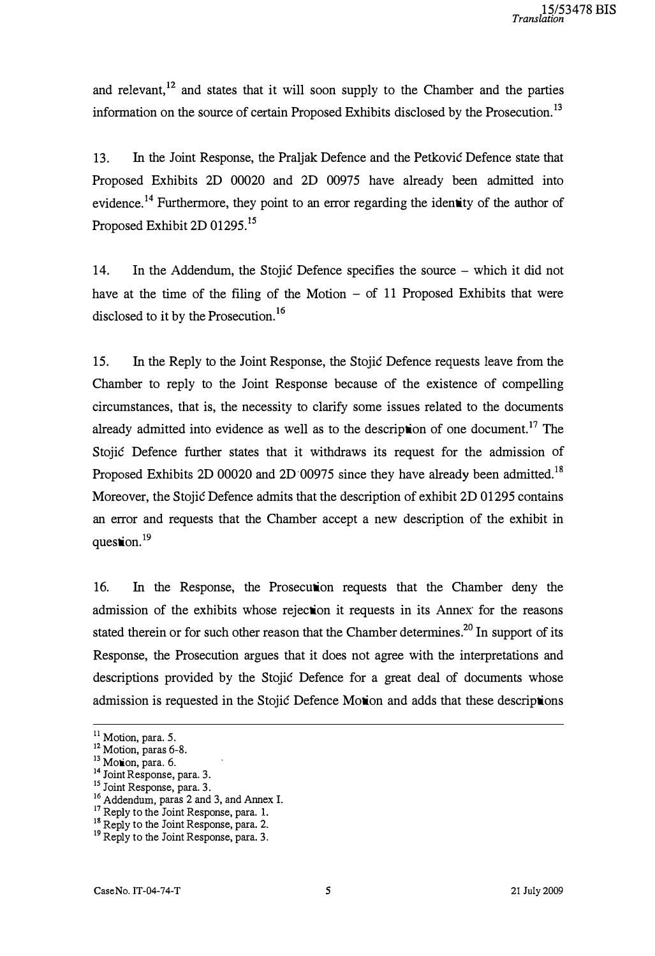and relevant,<sup>12</sup> and states that it will soon supply to the Chamber and the parties information on the source of certain Proposed Exhibits disclosed by the Prosecution.<sup>13</sup>

13. In the Joint Response, the Praljak Defence and the Petković Defence state that Proposed Exhibits 2D 00020 and 2D 00975 have already been admitted into evidence.<sup>14</sup> Furthermore, they point to an error regarding the identity of the author of Proposed Exhibit 2D 01295.<sup>15</sup>

14. In the Addendum, the Stojić Defence specifies the source - which it did not have at the time of the filing of the Motion  $-$  of 11 Proposed Exhibits that were disclosed to it by the Prosecution.<sup>16</sup>

15. In the Reply to the Joint Response, the Stojić Defence requests leave from the Chamber to reply to the Joint Response because of the existence of compelling circumstances, that is, the necessity to clarify some issues related to the documents already admitted into evidence as well as to the description of one document.<sup>17</sup> The Stojić Defence further states that it withdraws its request for the admission of Proposed Exhibits 2D 00020 and 2D 00975 since they have already been admitted.<sup>18</sup> Moreover, the Stojić Defence admits that the description of exhibit 2D 01295 contains an error and requests that the Chamber accept a new description of the exhibit in question.<sup>19</sup>

16. In the Response, the Prosecution requests that the Chamber deny the admission of the exhibits whose rejection it requests in its Annex for the reasons stated therein or for such other reason that the Chamber determines.<sup>20</sup> In support of its Response, the Prosecution argues that it does not agree with the interpretations and descriptions provided by the Stojić Defence for a great deal of documents whose admission is requested in the Stojić Defence Motion and adds that these descriptions

<sup>&</sup>lt;sup>11</sup> Motion, para. 5.

 $^{12}$  Motion, paras 6-8.

 $13$  Motion, para. 6.

<sup>&</sup>lt;sup>14</sup> Joint Response, para. 3.

<sup>&</sup>lt;sup>15</sup> Joint Response, para. 3.

<sup>&</sup>lt;sup>16</sup> Addendum, paras 2 and 3, and Annex I.

<sup>&</sup>lt;sup>17</sup> Reply to the Joint Response, para. 1.

<sup>&</sup>lt;sup>18</sup> Reply to the Joint Response, para. 2.<br><sup>18</sup> Reply to the Joint Response, para. 2.

<sup>&</sup>lt;sup>19</sup> Reply to the Joint Response, para. 3.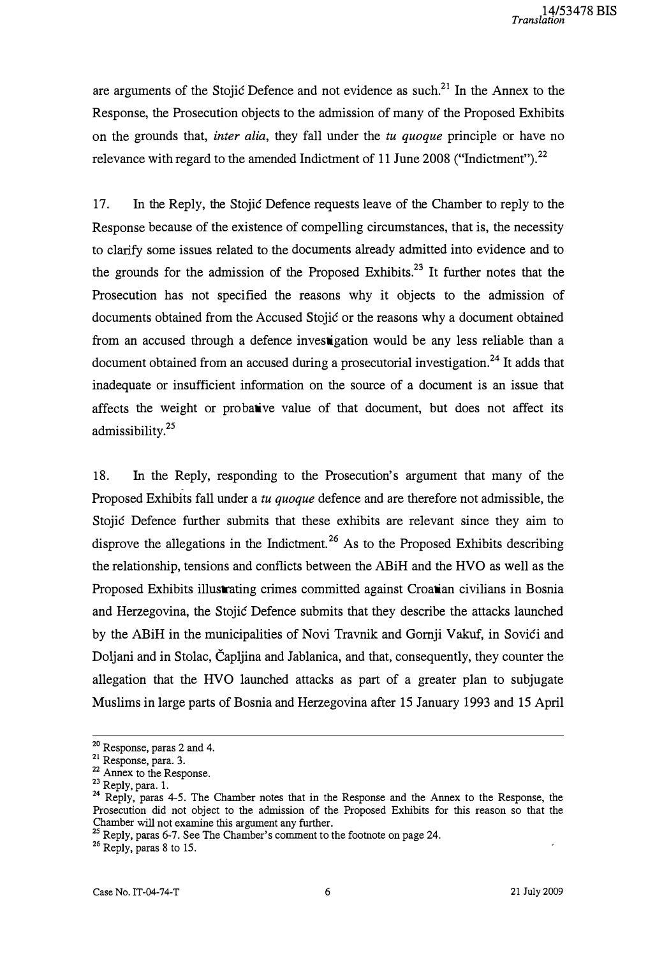are arguments of the Stojić Defence and not evidence as such.<sup>21</sup> In the Annex to the Response, the Prosecution objects to the admission of many of the Proposed Exhibits on the grounds that, *inter alia*, they fall under the tu quoque principle or have no relevance with regard to the amended Indictment of 11 June 2008 ("Indictment").<sup>22</sup>

17. In the Reply, the Stojić Defence requests leave of the Chamber to reply to the Response because of the existence of compelling circumstances, that is, the necessity to clarify some issues related to the documents already admitted into evidence and to the grounds for the admission of the Proposed Exhibits.<sup>23</sup> It further notes that the Prosecution has not specified the reasons why it objects to the admission of documents obtained from the Accused Stojić or the reasons why a document obtained from an accused through a defence investigation would be any less reliable than a document obtained from an accused during a prosecutorial investigation.<sup>24</sup> It adds that inadequate or insufficient information on the source of a document is an issue that affects the weight or probative value of that document, but does not affect its admissibility.<sup>25</sup>

18. In the Reply, responding to the Prosecution's argument that many of the Proposed Exhibits fall under a tu quoque defence and are therefore not admissible, the Stojić Defence further submits that these exhibits are relevant since they aim to disprove the allegations in the Indictment.<sup>26</sup> As to the Proposed Exhibits describing the relationship, tensions and conflicts between the ABiH and the HVO as well as the Proposed Exhibits illustrating crimes committed against Croatian civilians in Bosnia and Herzegovina, the Stojić Defence submits that they describe the attacks launched by the ABiH in the municipalities of Novi Travnik and Gornji Vakuf, in Sovići and Doljani and in Stolac, Čapljina and Jablanica, and that, consequently, they counter the allegation that the HVO launched attacks as part of a greater plan to subjugate Muslims in large parts of Bosnia and Herzegovina after 15 January 1993 and 15 April

<sup>&</sup>lt;sup>20</sup> Response, paras 2 and 4.

 $\frac{21}{1}$  Response, para. 3.

<sup>&</sup>lt;sup>22</sup> Annex to the Response.

<sup>&</sup>lt;sup>23</sup> Reply, para. 1.

<sup>&</sup>lt;sup>24</sup> Reply, paras 4-5. The Chamber notes that in the Response and the Annex to the Response, the Prosecution did not object to the admission of the Proposed Exhibits for this reason so that the Chamber will not examine this argument any further.

 $25$  Reply, paras 6-7. See The Chamber's comment to the footnote on page 24.

<sup>&</sup>lt;sup>26</sup> Reply, paras 8 to 15.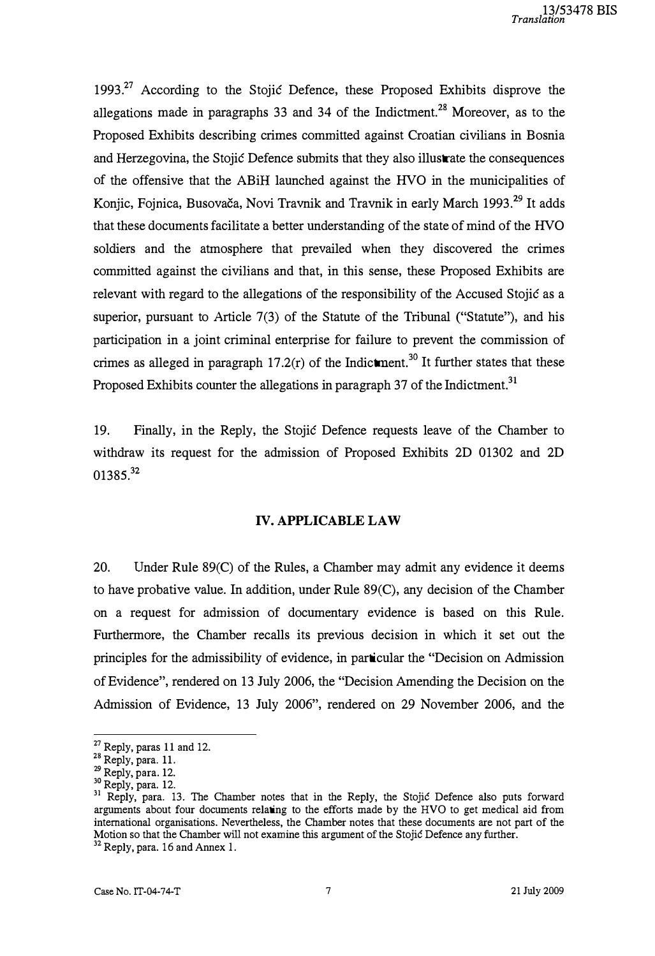1993.<sup>27</sup> According to the Stojić Defence, these Proposed Exhibits disprove the allegations made in paragraphs 33 and 34 of the Indictment.<sup>28</sup> Moreover, as to the Proposed Exhibits describing crimes committed against Croatian civilians in Bosnia and Herzegovina, the Stojić Defence submits that they also illustrate the consequences of the offensive that the ABiH launched against the HVO in the municipalities of Konjic, Fojnica, Busovača, Novi Travnik and Travnik in early March 1993.<sup>29</sup> It adds that these documents facilitate a better understanding of the state of mind of the HVO soldiers and the atmosphere that prevailed when they discovered the crimes committed against the civilians and that, in this sense, these Proposed Exhibits are relevant with regard to the allegations of the responsibility of the Accused Stojić as a superior, pursuant to Article 7(3) of the Statute of the Tribunal ("Statute"), and his participation in a joint criminal enterprise for failure to prevent the commission of crimes as alleged in paragraph  $17.2(r)$  of the Indictment.<sup>30</sup> It further states that these Proposed Exhibits counter the allegations in paragraph 37 of the Indictment.<sup>31</sup>

19. Finally, in the Reply, the Stojić Defence requests leave of the Chamber to withdraw its request for the admission of Proposed Exhibits 2D 01302 and 2D 01385.32

#### IV. APPLICABLE LAW

20. Under Rule 89(C) of the Rules, a Chamber may admit any evidence it deems to have probative value. In addition, under Rule 89(C), any decision of the Chamber on a request for admission of documentary evidence is based on this Rule. Furthermore, the Chamber recalls its previous decision in which it set out the principles for the admissibility of evidence, in particular the "Decision on Admission of Evidence", rendered on 13 July 2006, the "Decision Amending the Decision on the Admission of Evidence, 13 July 2006", rendered on 29 November 2006, and the

 $27$  Reply, paras 11 and 12.

<sup>&</sup>lt;sup>28</sup> Reply, para. 11.

<sup>29</sup> Reply, para. 12.

<sup>&</sup>lt;sup>30</sup> Reply, para. 12.

<sup>&</sup>lt;sup>31</sup> Reply, para. 13. The Chamber notes that in the Reply, the Stojić Defence also puts forward arguments about four documents relating to the efforts made by the HVO to get medical aid from international organisations. Nevertheless, the Chamber notes that these documents are not part of the Motion so that the Chamber will not examine this argument of the Stojić Defence any further.

 $32$  Reply, para. 16 and Annex 1.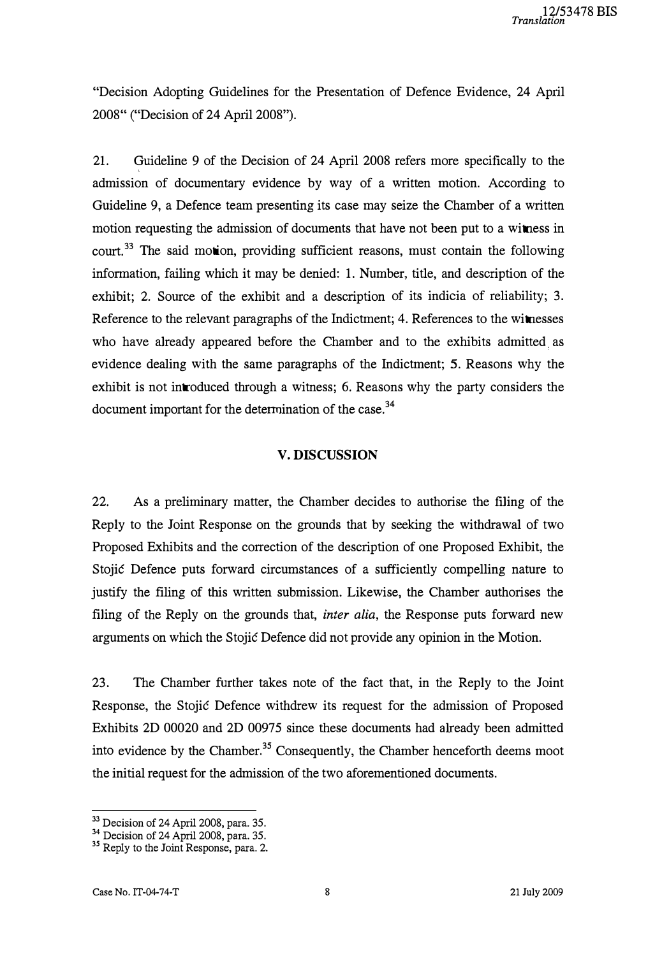"Decision Adopting Guidelines for the Presentation of Defence Evidence, 24 April 2008" ("Decision of 24 April 2008").

21. Guideline 9 of the Decision of 24 April 2008 refers more specifically to the admission of documentary evidence by way of a written motion. According to Guideline 9, a Defence team presenting its case may seize the Chamber of a written motion requesting the admission of documents that have not been put to a witness in court.<sup>33</sup> The said motion, providing sufficient reasons, must contain the following information, failing which it may be denied: 1. Number, title, and description of the exhibit; 2. Source of the exhibit and a description of its indicia of reliability; 3. Reference to the relevant paragraphs of the Indictment; 4. References to the witnesses who have already appeared before the Chamber and to the exhibits admitted as evidence dealing with the same paragraphs of the Indictment; 5. Reasons why the exhibit is not introduced through a witness; 6. Reasons why the party considers the document important for the determination of the case.<sup>34</sup>

### V. DISCUSSION

22. As a preliminary matter, the Chamber decides to authorise the filing of the Reply to the Joint Response on the grounds that by seeking the withdrawal of two Proposed Exhibits and the correction of the description of one Proposed Exhibit, the Stojić Defence puts forward circumstances of a sufficiently compelling nature to justify the filing of this written submission. Likewise, the Chamber authorises the filing of the Reply on the grounds that, *inter alia*, the Response puts forward new arguments on which the Stojić Defence did not provide any opinion in the Motion.

23. The Chamber further takes note of the fact that, in the Reply to the Joint Response, the Stojić Defence withdrew its request for the admission of Proposed Exhibits 2D 00020 and 2D 00975 since these documents had already been admitted into evidence by the Chamber.<sup>35</sup> Consequently, the Chamber henceforth deems moot the initial request for the admission of the two aforementioned documents.

<sup>&</sup>lt;sup>33</sup> Decision of 24 April 2008, para. 35.

<sup>&</sup>lt;sup>34</sup> Decision of 24 April 2008, para. 35.

<sup>&</sup>lt;sup>33</sup> Reply to the Joint Response, para. 2.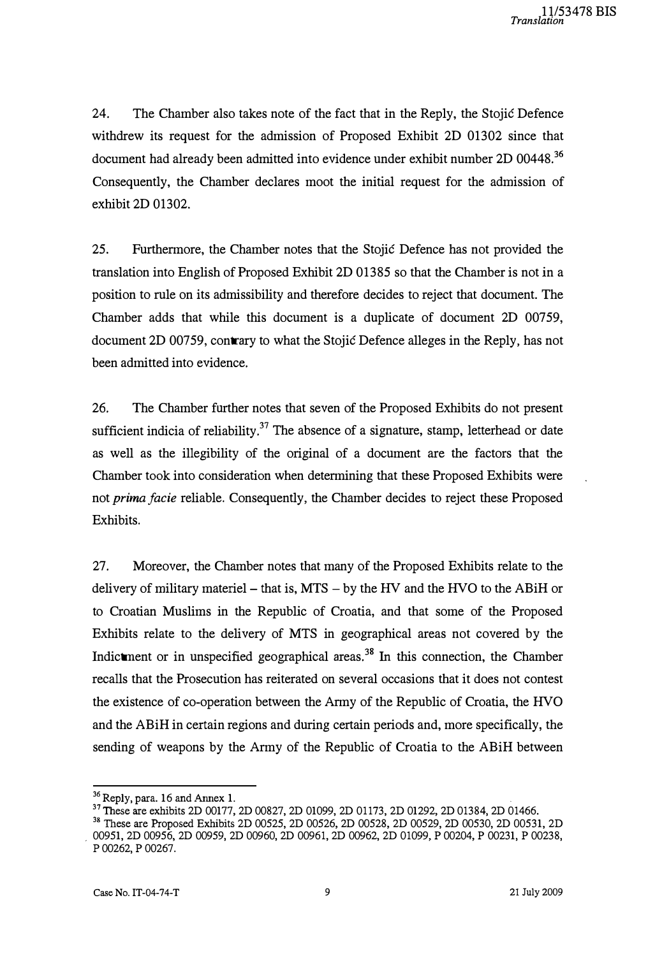24. The Chamber also takes note of the fact that in the Reply, the Stojić Defence withdrew its request for the admission of Proposed Exhibit 2D 01302 since that document had already been admitted into evidence under exhibit number 2D 00448.<sup>36</sup> Consequently, the Chamber declares moot the initial request for the admission of exhibit 2D 01302.

25. Furthermore, the Chamber notes that the Stojić Defence has not provided the translation into English of Proposed Exhibit 2D 01385 so that the Chamber is not in a position to rule on its admissibility and therefore decides to reject that document. The Chamber adds that while this document is a duplicate of document 2D 00759, document 2D 00759, contrary to what the Stojić Defence alleges in the Reply, has not been admitted into evidence.

26. The Chamber further notes that seven of the Proposed Exhibits do not present sufficient indicia of reliability.<sup>37</sup> The absence of a signature, stamp, letterhead or date as well as the illegibility of the original of a document are the factors that the Chamber took into consideration when determining that these Proposed Exhibits were not prima facie reliable. Consequently, the Chamber decides to reject these Proposed Exhibits.

27. Moreover, the Chamber notes that many of the Proposed Exhibits relate to the delivery of military materiel  $-$  that is, MTS  $-$  by the HV and the HVO to the ABiH or to Croatian Muslims in the Republic of Croatia, and that some of the Proposed Exhibits relate to the delivery of MTS in geographical areas not covered by the Indictment or in unspecified geographical areas.<sup>38</sup> In this connection, the Chamber recalls that the Prosecution has reiterated on several occasions that it does not contest the existence of co-operation between the Army of the Republic of Croatia, the HVO and the ABiH in certain regions and during certain periods and, more specifically, the sending of weapons by the Army of the Republic of Croatia to the ABiH between

<sup>36</sup>Reply, para. 16 and Annex 1. .

<sup>37</sup>These are exhibits 2D 00177, 2D 00827, 2D 01099, 2D 01173, 2D 01292, 2D 01384, 2D 01466.

<sup>38</sup>These are Proposed Exhibits 2D 00525, 2D 00526, 2D 00528, 2D 00529, 2D 00530, 2D 00531, 2D . 00951, 2D 00956, 2D 00959, 2D 00960, 2D 00961, 2D 00962, 2D 01099, P 00204, P 00231, P 00238, p 00262, P 00267.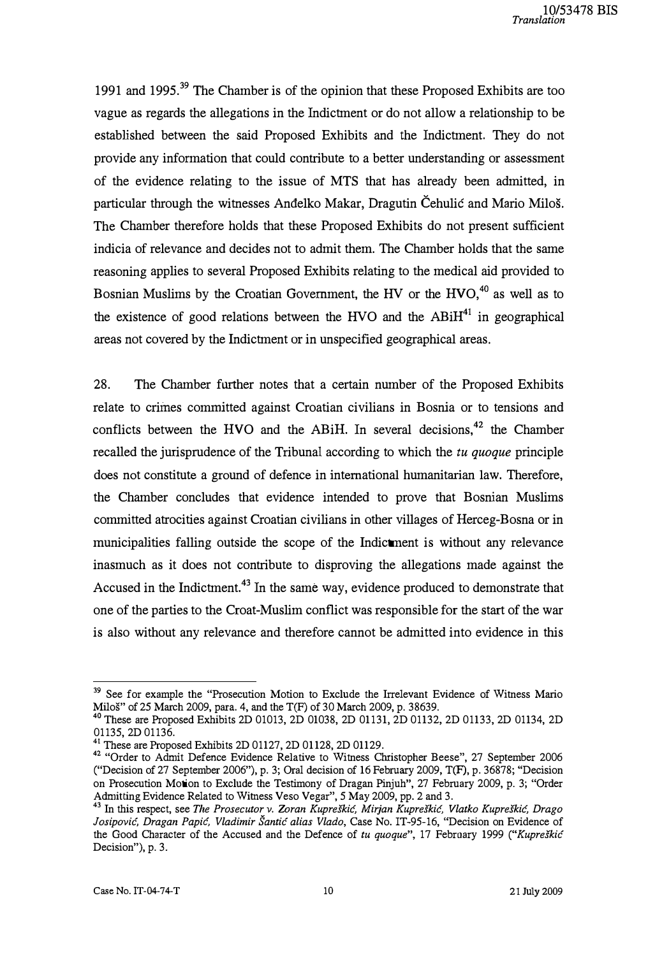1991 and 1995.<sup>39</sup> The Chamber is of the opinion that these Proposed Exhibits are too vague as regards the allegations in the Indictment or do not allow a relationship to be established between the said Proposed Exhibits and the Indictment. They do not provide any information that could contribute to a better understanding or assessment of the evidence relating to the issue of MTS that has already been admitted, in particular through the witnesses Anđelko Makar, Dragutin Čehulić and Mario Miloš. The Chamber therefore holds that these Proposed Exhibits do not present sufficient indicia of relevance and decides not to admit them. The Chamber holds that the same reasoning applies to several Proposed Exhibits relating to the medical aid provided to Bosnian Muslims by the Croatian Government, the HV or the  $HVO<sub>10</sub><sup>40</sup>$  as well as to the existence of good relations between the HVO and the  $ABiH<sup>41</sup>$  in geographical areas not covered by the Indictment or in unspecified geographical areas.

28. The Chamber further notes that a certain number of the Proposed Exhibits relate to crimes committed against Croatian civilians in Bosnia or to tensions and conflicts between the HVO and the ABiH. In several decisions,<sup>42</sup> the Chamber recalled the jurisprudence of the Tribunal according to which the tu quoque principle does not constitute a ground of defence in international humanitarian law. Therefore, the Chamber concludes that evidence intended to prove that Bosnian Muslims committed atrocities against Croatian civilians in other villages of Herceg-Bosna or in rnunicipalities falling outside the scope of the Indictment is without any relevance inasmuch as it does not contribute to disproving the allegations made against the Accused in the Indictment.<sup>43</sup> In the same way, evidence produced to demonstrate that one of the parties to the Croat-Muslim conflict was responsible for the start of the war is also without any relevance and therefore cannot be admitted into evidence in this

<sup>&</sup>lt;sup>39</sup> See for example the "Prosecution Motion to Exclude the Irrelevant Evidence of Witness Mario Miloš" of 25 March 2009, para. 4, and the T(F) of 30 March 2009, p. 38639.

<sup>40</sup> These are Proposed Exhibits 2D 01013, 2D 01038, 2D 01131, 2D 01132, 2D 01133, 2D 01134, 2D 01135, 2D 01136.

<sup>41</sup> These are Proposed Exhibits 2D 01127, 2D 01128, 2D 01129.

<sup>&</sup>lt;sup>42</sup> "Order to Admit Defence Evidence Relative to Witness Christopher Beese", 27 September 2006 (''Decision of 27 September 2006"), p. 3; Oral decision of 16 February 2009, T(F), p. 36878; ''Decision on Prosecution Motion to Exclude the Testimony of Dragan Pinjuh", 27 February 2009, p. 3; "Order Admitting Evidence Related to Witness Veso Vegar", 5 May 2009, pp. 2 and 3.

<sup>&</sup>lt;sup>43</sup> In this respect, see The Prosecutor v. Zoran Kupreškić, Mirjan Kupreškić, Vlatko Kupreškić, Drago Josipović, Dragan Papić, Vladimir Šantić alias Vlado, Case No. IT-95-16, ''Decision on Evidence of the Good Character of the Accused and the Defence of tu quoque", 17 February 1999 ("Kupreškić Decision"), p. 3.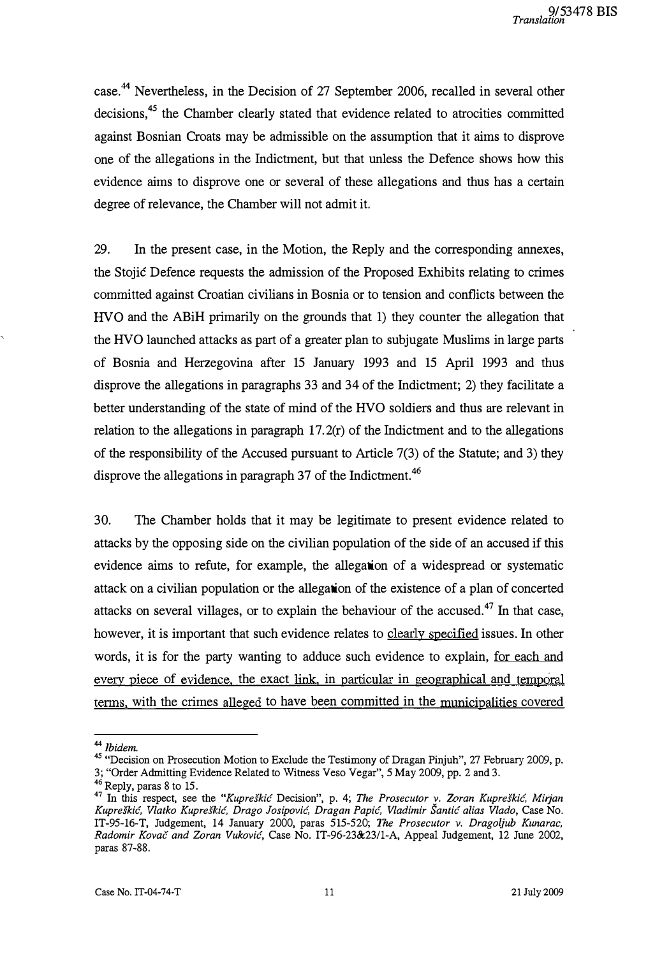case.<sup>44</sup> Nevertheless, in the Decision of 27 September 2006, recalled in several other decisions,<sup>45</sup> the Chamber clearly stated that evidence related to atrocities committed against Bosnian Croats may be admissible on the assumption that it aims to disprove one of the allegations in the Indictment, but that unless the Defence shows how this evidence aims to disprove one or several of these allegations and thus has a certain degree of relevance, the Chamber will not admit it.

29. In the present case, in the Motion, the Reply and the corresponding annexes, the Stojić Defence requests the admission of the Proposed Exhibits relating to crimes committed against Croatian civilians in Bosnia or to tension and conflicts between the HVO and the ABiH primarily on the grounds that 1) they counter the allegation that the HVO launched attacks as part of a greater plan to subjugate Muslims in large parts of Bosnia and Herzegovina after 15 January 1993 and 15 April 1993 and thus disprove the allegations in paragraphs 33 and 34 of the Indictment; 2) they facilitate a better understanding of the state of mind of the HVO soldiers and thus are relevant in relation to the allegations in paragraph  $17.2(r)$  of the Indictment and to the allegations of the responsibility of the Accused pursuant to Article 7(3) of the Statute; and 3) they disprove the allegations in paragraph 37 of the Indictment.<sup>46</sup>

30. The Chamber holds that it may be legitimate to present evidence related to attacks by the opposing side on the civilian population of the side of an accused if this evidence aims to refute, for example, the allegation of a widespread or systematic attack on a civilian population or the allegation of the existence of a plan of concerted attacks on several villages, or to explain the behaviour of the accused. $47$  In that case. however, it is important that such evidence relates to clearly specified issues. In other words, it is for the party wanting to adduce such evidence to explain, for each and every piece of evidence, the exact link, in particular in geographical and temporal terms, with the crimes alleged to have been committed in the municipalities covered

<sup>&</sup>lt;sup>44</sup> Ibidem.

<sup>&</sup>lt;sup>45</sup> "Decision on Prosecution Motion to Exclude the Testimony of Dragan Pinjuh", 27 February 2009, p. 3; "Order Admitting Evidence Related to Witness Veso Vegar", 5 May 2009, pp. 2 and 3.

 $^{46}$  Reply, paras 8 to 15.

 $47$  In this respect, see the "Kupreškić Decision", p. 4; The Prosecutor y. Zoran Kupreškić, Mirjan Kupreškić, Vlatko Kupreškić, Drago Josipović, Dragan Papić, Vladimir Šantić alias Vlado, Case No. IT-95-16-T, Judgement, 14 January 2000, paras 515-520; The Prosecutor v. Dragoljub Kunarac, Radomir Kovač and Zoran Vuković, Case No. IT-96-23&23/1-A, Appeal Judgement, 12 June 2002, paras 87-88.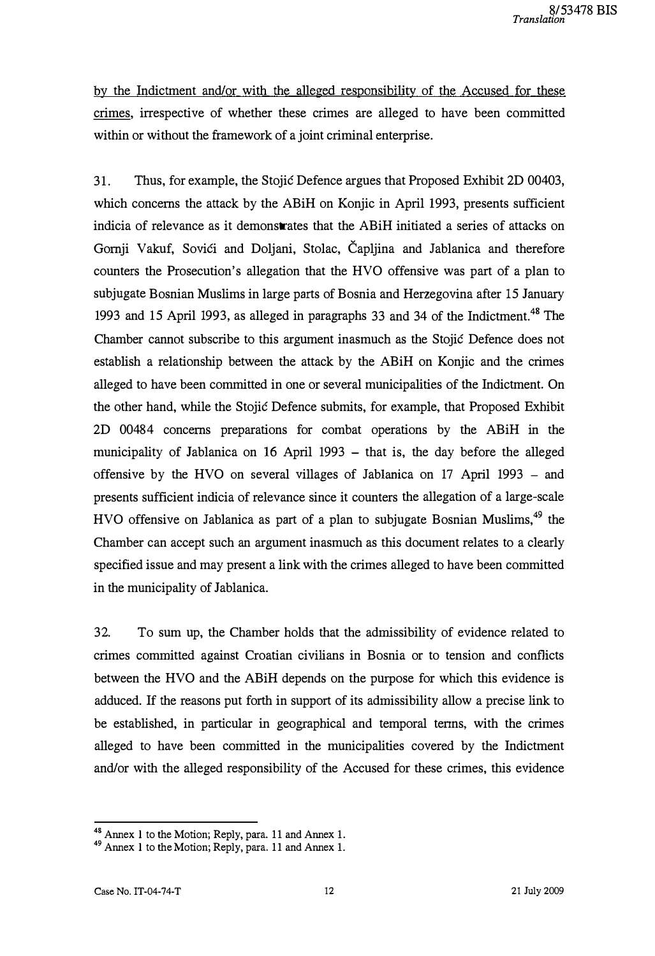by the Indictment and/or with the alleged responsibility of the Accused for these crimes, irrespective of whether these crimes are alleged to have been committed within or without the framework of a joint criminal enterprise.

31. Thus, for example, the Stojić Defence argues that Proposed Exhibit 2D 00403, which concerns the attack by the ABiH on Konjic in April 1993, presents sufficient indicia of relevance as it demonstrates that the ABiH initiated a series of attacks on Gornji Vakuf, Sovići and Doljani, Stolac, Čapljina and Jablanica and therefore counters the Prosecution's allegation that the HVO offensive was part of a plan to subjugate Bosnian Muslims in large parts of Bosnia and Herzegovina after 15 January 1993 and 15 April 1993, as alleged in paragraphs 33 and 34 of the Indictment.<sup>48</sup> The Chamber cannot subscribe to this argument inasmuch as the Stojić Defence does not establish a relationship between the attack by the ABiH on Konjic and the crimes alleged to have been committed in one or several municipalities of the Indictment. On the other hand, while the Stojić Defence submits, for example, that Proposed Exhibit 2D 00484 concerns preparations for combat operations by the ABiH in the municipality of Jablanica on 16 April 1993 - that is, the day before the alleged offensive by the HVO on several villages of Jablanica on 17 April 1993 - and presents sufficient indicia of relevance since it counters the allegation of a large-scale HVO offensive on Jablanica as part of a plan to subjugate Bosnian Muslims,<sup>49</sup> the Chamber can accept such an argument inasmuch as this document relates to a clearly specified issue and may present a link with the crimes alleged to have been committed in the municipality of Jablanica.

32. To sum up, the Chamber holds that the admissibility of evidence related to crimes committed against Croatian civilians in Bosnia or to tension and conflicts between the HVO and the ABiH depends on the purpose for which this evidence is adduced. If the reasons put forth in support of its admissibility allow a precise link to be established, in particular in geographical and temporal tenns, with the crimes alleged to have been committed in the municipalities covered by the Indictment and/or with the alleged responsibility of the Accused for these crimes, this evidence

<sup>&</sup>lt;sup>48</sup> Annex 1 to the Motion; Reply, para. 11 and Annex 1.

<sup>49</sup>Annex l to the Motion; Reply, para. II and Annex 1.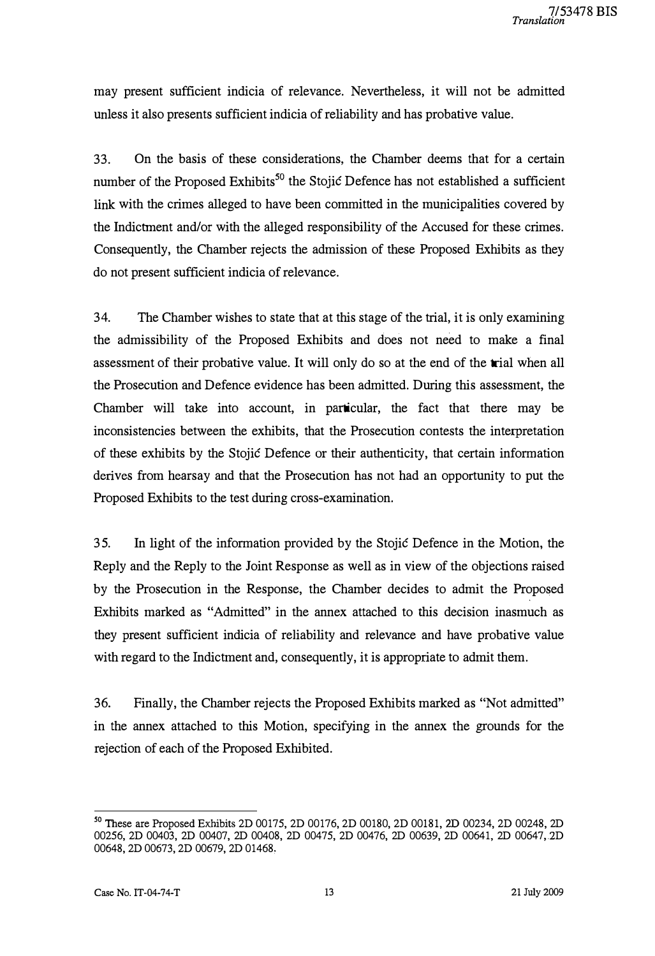may present sufficient indicia of relevance. Nevertheless, it will not be admitted unless it also presents sufficient indicia of reliability and has probative value.

33. On the basis of these considerations, the Chamber deems that for a certain number of the Proposed Exhibits<sup>50</sup> the Stojić Defence has not established a sufficient link with the crimes alleged to have been committed in the municipalities covered by the Indictment and/or with the alleged responsibility of the Accused for these crimes. Consequently, the Chamber rejects the admission of these Proposed Exhibits as they do not present sufficient indicia of relevance.

34. The Chamber wishes to state that at this stage of the trial, it is only examining the admissibility of the Proposed Exhibits and does not need to make a final assessment of their probative value. It will only do so at the end of the trial when all the Prosecution and Defence evidence has been admitted. During this assessment, the Chamber will take into account, in particular, the fact that there may be inconsistencies between the exhibits, that the Prosecution contests the interpretation of these exhibits by the Stojić Defence or their authenticity, that certain information derives from hears ay and that the Prosecution has not had an opportunity to put the Proposed Exhibits to the test during cross-examination.

35. In light of the information provided by the Stojić Defence in the Motion, the Reply and the Reply to the Joint Response as well as in view of the objections raised by the Prosecution in the Response, the Chamber decides to admit the Proposed Exhibits marked as "Admitted" in the annex attached to this decision inasmuch as they present sufficient indicia of reliability and relevance and have probative value with regard to the Indictment and, consequently, it is appropriate to admit them.

36. Finally, the Chamber rejects the Proposed Exhibits marked as "Not admitted" in the annex attached to this Motion, specifying in the annex the grounds for the rejection of each of the Proposed Exhibited.

<sup>50</sup>These are Proposed Exhibits 2D 00175, 2D 00176, 2D 00180, 2D 00181, 2D 00234, 2D 00248, 2D 00256, 2D 00403, 2D 00407, 2D 00408, 2D 00475, 2D 00476, 2D 00639, 2D 00641, 2D 00647,2D 00648, 2D 00673, 2D 00679, 2D 01468,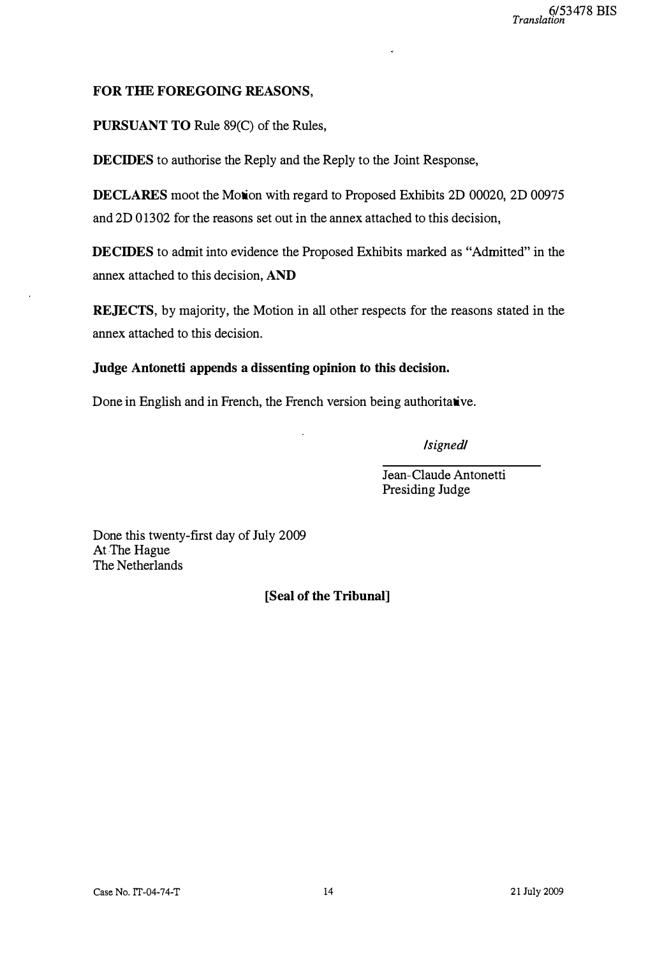## FOR THE FOREGOING REASONS,

PURSUANT TO Rule 89(C) of the Rules,

DECIDES to authorise the Reply and the Reply to the Joint Response,

DECLARES moot the Motion with regard to Proposed Exhibits 2D 00020, 2D 00975 and 2D 01302 for the reasons set out in the annex attached to this decision,

DECIDES to admit into evidence the Proposed Exhibits marked as "Admitted" in the annex attached to this decision, AND

REJECTS, by majority, the Motion in all other respects for the reasons stated in the annex attached to this decision.

Judge Antonetti appends a dissenting opinion to this decision.

Done in English and in French, the French version being authoritative.

/signed/

Jean-Claude Antonetti Presiding Judge

Done this twenty-first day of July 2009 At The Hague The Netherlands

[Seal of the Tribunal]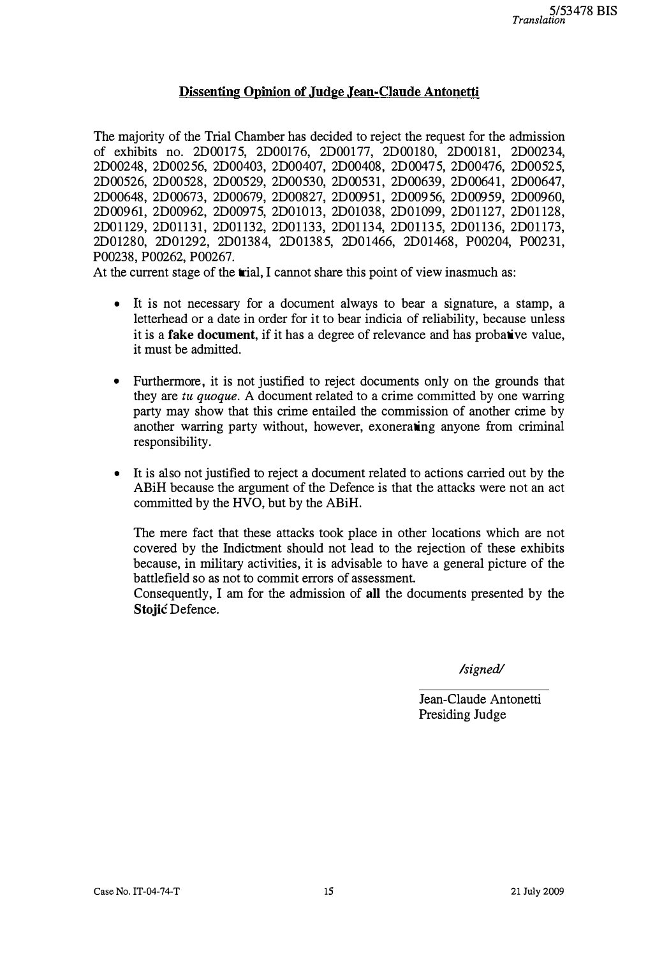## Dissenting Opinion of Judge Jean-Claude Antonetti

The majority of the Trial Chamber has decided to reject the request for the admission of exhibits no. 2D00175, 2D00176, 2DOOl77, 2D00180, 2D00181, 2D00234, 2D00248, 2D00256, 2D00403, 2D00407, 2D00408, 2D00475, 2D00476, 2D00525, 2D00526, 2D00528, 2D00529, 2D00530, 2D00531, 2D00639, 2D00641, 2D00647, 2D00648, 2D00673, 2D00679, 2D00827, 2D00951, 2D00956, 2D00959, 2D00960, 2D00961, 2D00962, 2D00975, 2D01013, 2D01038, 2D01099, 2D01127, 2D01128, 2D0 1 129, 2D0 1 131, 2D01 132, 2D0 1 133, 2D01 134, 2D0 1135, 2DOl136, 2D0 1 173, 2D01280, 2D01292, 2D01384, 2D01385, 2D0 1466, 2D01468, P00204, P00231, P00238, P00262, P00267.

At the current stage of the trial, I cannot share this point of view inasmuch as:

- It is not necessary for a document always to bear a signature, a stamp, a letterhead or a date in order for it to bear indicia of reliability, because unless it is a **fake document**, if it has a degree of relevance and has probative value, it must be admitted.
- Furthermore, it is not justified to reject documents only on the grounds that they are tu quoque. A document related to a crime committed by one warring party may show that this crime entailed the commission of another crime by another warring party without, however, exonerating anyone from criminal responsibility.
- It is also not justified to reject a document related to actions carried out by the ABiH because the argument of the Defence is that the attacks were not an act committed by the HVO, but by the ABiH.

The mere fact that these attacks took place in other locations which are not covered by the Indictment should not lead to the rejection of these exhibits because, in military activities, it is advisable to have a general picture of the battlefield so as not to commit errors of assessment.

Consequently, I am for the admission of all the documents presented by the Stojić Defence.

#### /signed/

Jean-Claude Antonetti Presiding Judge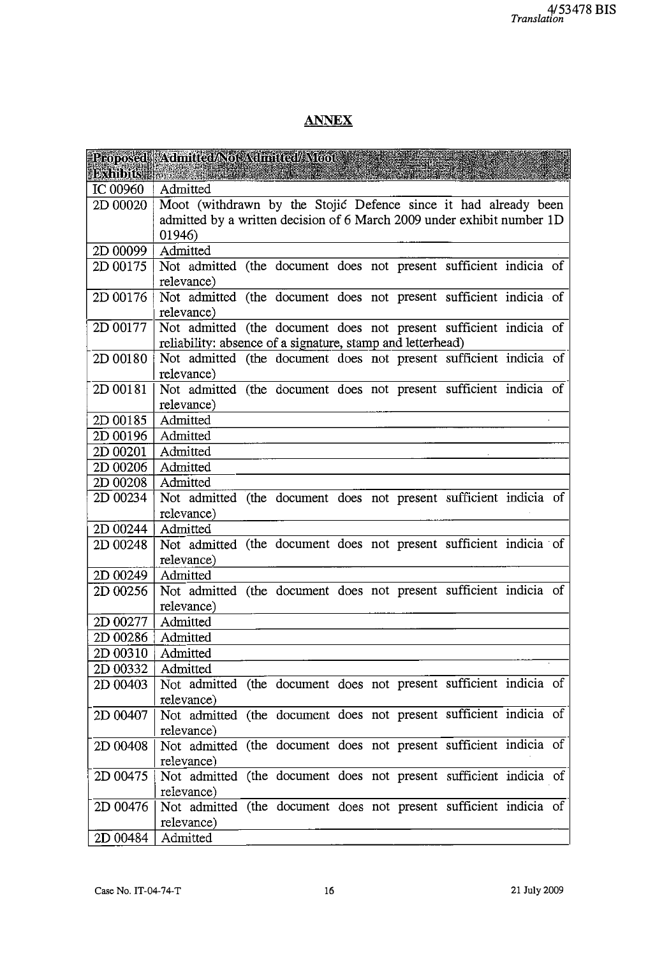# ANNEX

| <b>Exhibits</b>                    | Proposed Admitted/Not Admitted/Moot                                          |
|------------------------------------|------------------------------------------------------------------------------|
| IC 00960                           | Admitted                                                                     |
| 2D 00020                           | Moot (withdrawn by the Stojić Defence since it had already been              |
|                                    | admitted by a written decision of 6 March 2009 under exhibit number 1D       |
|                                    | 01946)                                                                       |
| $2D00099$   Admitted               |                                                                              |
|                                    | 2D 00175   Not admitted (the document does not present sufficient indicia of |
|                                    | relevance)                                                                   |
| 2D 00176                           | Not admitted (the document does not present sufficient indicia of            |
|                                    | relevance)                                                                   |
| 2D 00177                           | Not admitted (the document does not present sufficient indicia of            |
|                                    | reliability: absence of a signature, stamp and letterhead)                   |
| 2D 00180                           | Not admitted (the document does not present sufficient indicia of            |
|                                    | relevance)                                                                   |
| 2D 00181                           | Not admitted (the document does not present sufficient indicia of            |
|                                    | relevance)                                                                   |
| 2D 00185                           | Admitted                                                                     |
| 2D 00196                           | Admitted                                                                     |
| 2D 00201                           | Admitted                                                                     |
| 2D 00206   Admitted                |                                                                              |
| 2D 00208                           | Admitted                                                                     |
| 2D 00234                           | Not admitted (the document does not present sufficient indicia of            |
|                                    | relevance)                                                                   |
| 2D 00244   Admitted                |                                                                              |
| 2D 00248                           | Not admitted (the document does not present sufficient indicia of            |
|                                    | relevance)                                                                   |
| 2D 00249                           | Admitted                                                                     |
| 2D 00256                           | Not admitted (the document does not present sufficient indicia of            |
|                                    | relevance)                                                                   |
| $2D 00277$   Admitted              |                                                                              |
| 2D 00286                           | Admitted                                                                     |
| 2D 00310<br>$2D\ 00332$   Admitted | Admitted                                                                     |
| 2D 00403                           | Not admitted (the document does not present sufficient indicia of            |
|                                    | relevance)                                                                   |
| 2D 00407                           | Not admitted (the document does not present sufficient indicia of            |
|                                    | relevance)                                                                   |
| 2D 00408                           | Not admitted (the document does not present sufficient indicia of            |
|                                    | relevance)                                                                   |
| 2D 00475                           | Not admitted (the document does not present sufficient indicia of            |
|                                    | relevance)                                                                   |
| 2D 00476                           | Not admitted (the document does not present sufficient indicia of            |
|                                    | relevance)                                                                   |
| 2D 00484                           | Admitted                                                                     |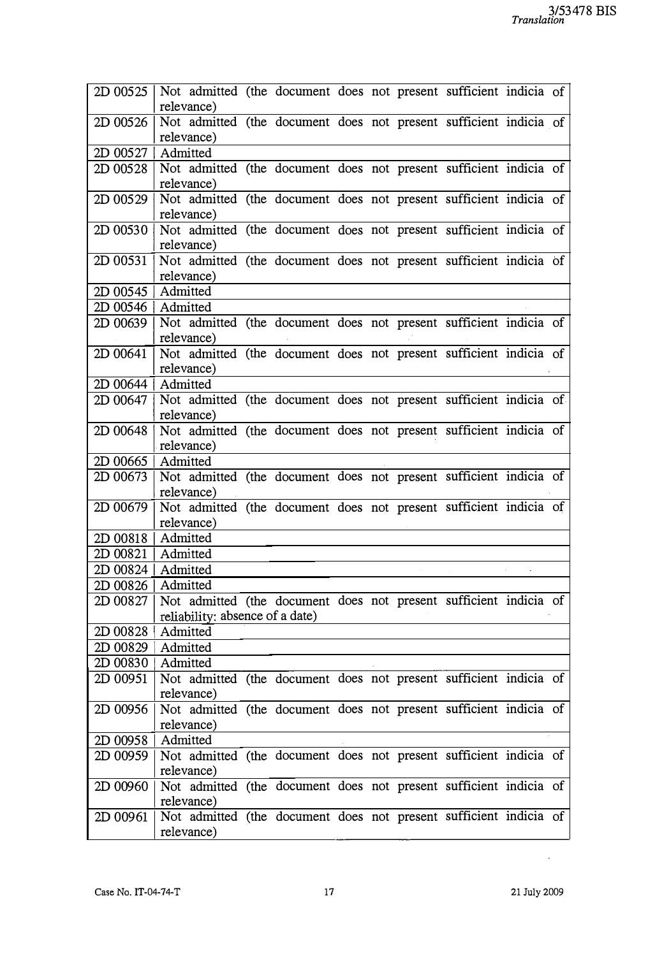| 2D 00525                           | Not admitted (the document does not present sufficient indicia of<br>relevance) |
|------------------------------------|---------------------------------------------------------------------------------|
| 2D 00526                           | Not admitted (the document does not present sufficient indicia of               |
|                                    | relevance)                                                                      |
| 2D 00527   Admitted                |                                                                                 |
| 2D 00528                           | Not admitted (the document does not present sufficient indicia of               |
|                                    | relevance)                                                                      |
| 2D 00529                           | Not admitted (the document does not present sufficient indicia of               |
|                                    | relevance)                                                                      |
|                                    | 2D 00530 Not admitted (the document does not present sufficient indicia of      |
|                                    | relevance)                                                                      |
| 2D 00531                           | Not admitted (the document does not present sufficient indicia of               |
| $2D\ 00545$   Admitted             | relevance)                                                                      |
| 2D 00546   Admitted                |                                                                                 |
| 2D 00639                           | Not admitted (the document does not present sufficient indicia of               |
|                                    | relevance)                                                                      |
| 2D 00641                           | Not admitted (the document does not present sufficient indicia of               |
|                                    | relevance)                                                                      |
| 2D 00644   Admitted                |                                                                                 |
|                                    | 2D 00647 Not admitted (the document does not present sufficient indicia of      |
|                                    | relevance)                                                                      |
| 2D 00648                           | Not admitted (the document does not present sufficient indicia of               |
|                                    | relevance)                                                                      |
| $2D\,00665$   Admitted<br>2D 00673 | Not admitted (the document does not present sufficient indicia of               |
|                                    | relevance)                                                                      |
| 2D 00679                           | Not admitted (the document does not present sufficient indicia of               |
|                                    | relevance)                                                                      |
| $2D 00818$   Admitted              |                                                                                 |
| 2D 00821   Admitted                |                                                                                 |
| 2D 00824   Admitted                |                                                                                 |
| 2D 00826   Admitted                |                                                                                 |
| 2D 00827                           | Not admitted (the document does not present sufficient indicia of               |
|                                    | reliability: absence of a date)                                                 |
| 2D 00828   Admitted                |                                                                                 |
| $2D\ 00829$   Admitted             |                                                                                 |
| 2D 00830   Admitted                | Not admitted (the document does not present sufficient indicia of               |
| 2D 00951                           | relevance)                                                                      |
| 2D 00956                           | Not admitted (the document does not present sufficient indicia of               |
|                                    | relevance)                                                                      |
| $2D00958$   Admitted               |                                                                                 |
| 2D 00959                           | Not admitted (the document does not present sufficient indicia of               |
|                                    | relevance)                                                                      |
| 2D 00960                           | Not admitted (the document does not present sufficient indicia of               |
|                                    | relevance)                                                                      |
| 2D 00961                           | Not admitted (the document does not present sufficient indicia of               |
|                                    | relevance)                                                                      |

 $\sim 10^6$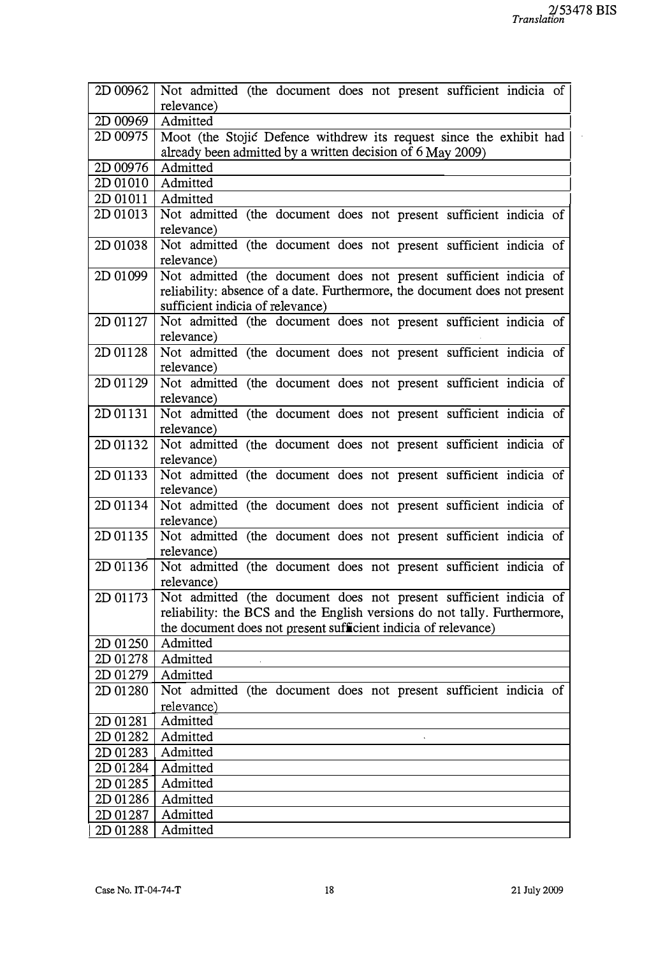ä,

| 2D 00962 | Not admitted (the document does not present sufficient indicia of               |
|----------|---------------------------------------------------------------------------------|
|          | relevance)                                                                      |
| 2D 00969 | Admitted                                                                        |
| 2D 00975 | Moot (the Stojić Defence withdrew its request since the exhibit had             |
|          | already been admitted by a written decision of 6 May 2009)                      |
| 2D 00976 | Admitted                                                                        |
| 2D 01010 | Admitted                                                                        |
| 2D 01011 | Admitted                                                                        |
| 2D 01013 | Not admitted (the document does not present sufficient indicia of<br>relevance) |
| 2D 01038 | Not admitted (the document does not present sufficient indicia of<br>relevance) |
| 2D 01099 | Not admitted (the document does not present sufficient indicia of               |
|          | reliability: absence of a date. Furthermore, the document does not present      |
|          | sufficient indicia of relevance)                                                |
| 2D 01127 | Not admitted (the document does not present sufficient indicia of               |
|          | relevance)                                                                      |
| 2D 01128 | Not admitted (the document does not present sufficient indicia of               |
|          | relevance)                                                                      |
| 2D 01129 | Not admitted (the document does not present sufficient indicia of               |
|          | relevance)                                                                      |
| 2D 01131 | Not admitted (the document does not present sufficient indicia of               |
|          | relevance)                                                                      |
| 2D 01132 | Not admitted (the document does not present sufficient indicia of               |
|          | relevance)                                                                      |
| 2D 01133 | Not admitted (the document does not present sufficient indicia of               |
|          | relevance)                                                                      |
| 2D 01134 | Not admitted (the document does not present sufficient indicia of               |
|          | relevance)                                                                      |
| 2D 01135 | Not admitted (the document does not present sufficient indicia of               |
|          | relevance)                                                                      |
| 2D 01136 | Not admitted (the document does not present sufficient indicia of               |
|          | relevance)                                                                      |
| 2D 01173 | Not admitted (the document does not present sufficient indicia of               |
|          | reliability: the BCS and the English versions do not tally. Furthermore,        |
|          | the document does not present sufficient indicia of relevance)                  |
| 2D 01250 | Admitted                                                                        |
| 2D 01278 | Admitted                                                                        |
| 2D 01279 | Admitted                                                                        |
| 2D 01280 | Not admitted (the document does not present sufficient indicia of               |
|          | relevance)                                                                      |
| 2D 01281 | Admitted                                                                        |
| 2D 01282 | Admitted                                                                        |
| 2D 01283 | Admitted                                                                        |
| 2D 01284 | Admitted                                                                        |
| 2D 01285 | Admitted                                                                        |
| 2D 01286 | Admitted                                                                        |
| 2D 01287 | Admitted                                                                        |
| 2D 01288 | Admitted                                                                        |